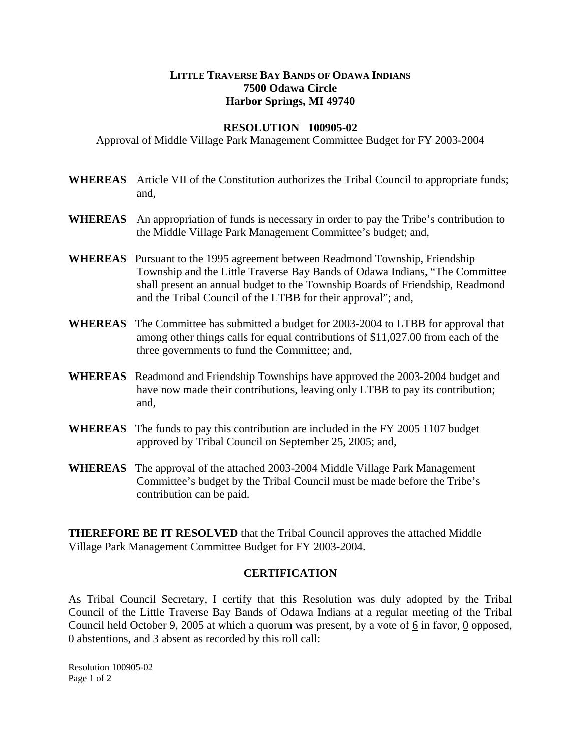## **LITTLE TRAVERSE BAY BANDS OF ODAWA INDIANS 7500 Odawa Circle Harbor Springs, MI 49740**

## **RESOLUTION 100905-02**

Approval of Middle Village Park Management Committee Budget for FY 2003-2004

- **WHEREAS** Article VII of the Constitution authorizes the Tribal Council to appropriate funds; and,
- **WHEREAS** An appropriation of funds is necessary in order to pay the Tribe's contribution to the Middle Village Park Management Committee's budget; and,
- **WHEREAS** Pursuant to the 1995 agreement between Readmond Township, Friendship Township and the Little Traverse Bay Bands of Odawa Indians, "The Committee shall present an annual budget to the Township Boards of Friendship, Readmond and the Tribal Council of the LTBB for their approval"; and,
- **WHEREAS** The Committee has submitted a budget for 2003-2004 to LTBB for approval that among other things calls for equal contributions of \$11,027.00 from each of the three governments to fund the Committee; and,
- **WHEREAS** Readmond and Friendship Townships have approved the 2003-2004 budget and have now made their contributions, leaving only LTBB to pay its contribution; and,
- **WHEREAS** The funds to pay this contribution are included in the FY 2005 1107 budget approved by Tribal Council on September 25, 2005; and,
- **WHEREAS** The approval of the attached 2003-2004 Middle Village Park Management Committee's budget by the Tribal Council must be made before the Tribe's contribution can be paid.

**THEREFORE BE IT RESOLVED** that the Tribal Council approves the attached Middle Village Park Management Committee Budget for FY 2003-2004.

## **CERTIFICATION**

As Tribal Council Secretary, I certify that this Resolution was duly adopted by the Tribal Council of the Little Traverse Bay Bands of Odawa Indians at a regular meeting of the Tribal Council held October 9, 2005 at which a quorum was present, by a vote of 6 in favor, 0 opposed, 0 abstentions, and 3 absent as recorded by this roll call:

Resolution 100905-02 Page 1 of 2